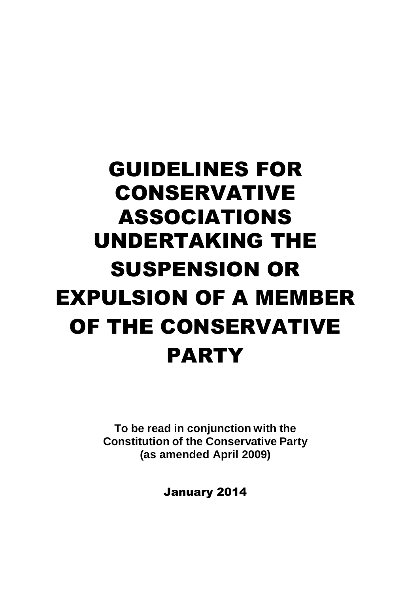# GUIDELINES FOR CONSERVATIVE ASSOCIATIONS UNDERTAKING THE SUSPENSION OR EXPULSION OF A MEMBER OF THE CONSERVATIVE PARTY

**To be read in conjunction with the Constitution of the Conservative Party (as amended April 2009)**

January 2014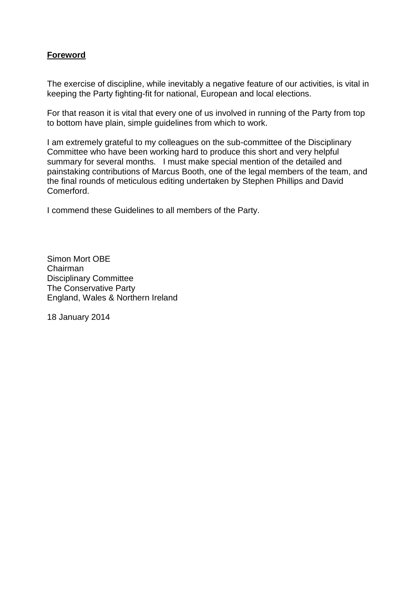## **Foreword**

The exercise of discipline, while inevitably a negative feature of our activities, is vital in keeping the Party fighting-fit for national, European and local elections.

For that reason it is vital that every one of us involved in running of the Party from top to bottom have plain, simple guidelines from which to work.

I am extremely grateful to my colleagues on the sub-committee of the Disciplinary Committee who have been working hard to produce this short and very helpful summary for several months. I must make special mention of the detailed and painstaking contributions of Marcus Booth, one of the legal members of the team, and the final rounds of meticulous editing undertaken by Stephen Phillips and David Comerford.

I commend these Guidelines to all members of the Party.

Simon Mort OBE Chairman Disciplinary Committee The Conservative Party England, Wales & Northern Ireland

18 January 2014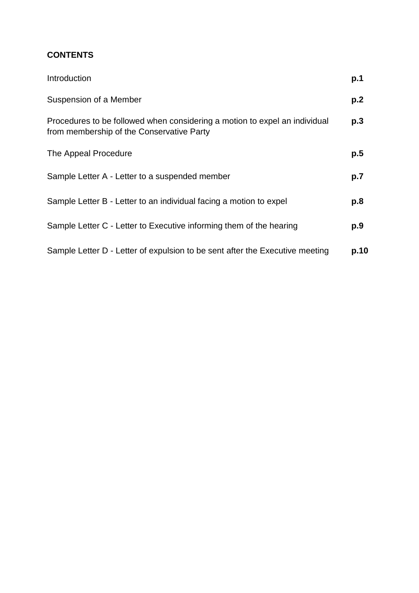# **CONTENTS**

| Introduction                                                                                                            | p.1  |
|-------------------------------------------------------------------------------------------------------------------------|------|
| Suspension of a Member                                                                                                  | p.2  |
| Procedures to be followed when considering a motion to expel an individual<br>from membership of the Conservative Party | p.3  |
| The Appeal Procedure                                                                                                    | p.5  |
| Sample Letter A - Letter to a suspended member                                                                          | p.7  |
| Sample Letter B - Letter to an individual facing a motion to expel                                                      | p.8  |
| Sample Letter C - Letter to Executive informing them of the hearing                                                     | p.9  |
| Sample Letter D - Letter of expulsion to be sent after the Executive meeting                                            | p.10 |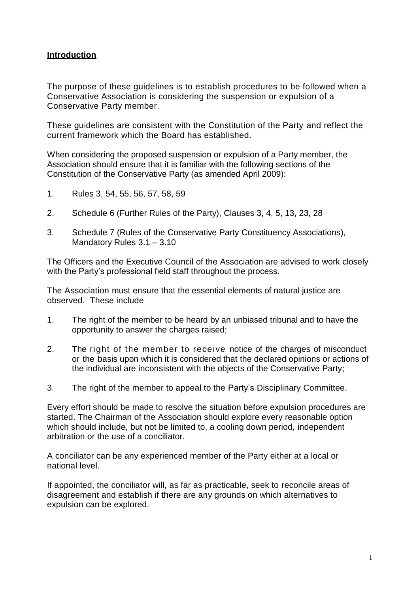#### **Introduction**

The purpose of these guidelines is to establish procedures to be followed when a Conservative Association is considering the suspension or expulsion of a Conservative Party member.

These guidelines are consistent with the Constitution of the Party and reflect the current framework which the Board has established.

When considering the proposed suspension or expulsion of a Party member, the Association should ensure that it is familiar with the following sections of the Constitution of the Conservative Party (as amended April 2009):

- 1. Rules 3, 54, 55, 56, 57, 58, 59
- 2. Schedule 6 (Further Rules of the Party), Clauses 3, 4, 5, 13, 23, 28
- 3. Schedule 7 (Rules of the Conservative Party Constituency Associations), Mandatory Rules 3.1 – 3.10

The Officers and the Executive Council of the Association are advised to work closely with the Party's professional field staff throughout the process.

The Association must ensure that the essential elements of natural justice are observed. These include

- 1. The right of the member to be heard by an unbiased tribunal and to have the opportunity to answer the charges raised;
- 2. The right of the member to receive notice of the charges of misconduct or the basis upon which it is considered that the declared opinions or actions of the individual are inconsistent with the objects of the Conservative Party;
- 3. The right of the member to appeal to the Party's Disciplinary Committee.

Every effort should be made to resolve the situation before expulsion procedures are started. The Chairman of the Association should explore every reasonable option which should include, but not be limited to, a cooling down period, independent arbitration or the use of a conciliator.

A conciliator can be any experienced member of the Party either at a local or national level.

If appointed, the conciliator will, as far as practicable, seek to reconcile areas of disagreement and establish if there are any grounds on which alternatives to expulsion can be explored.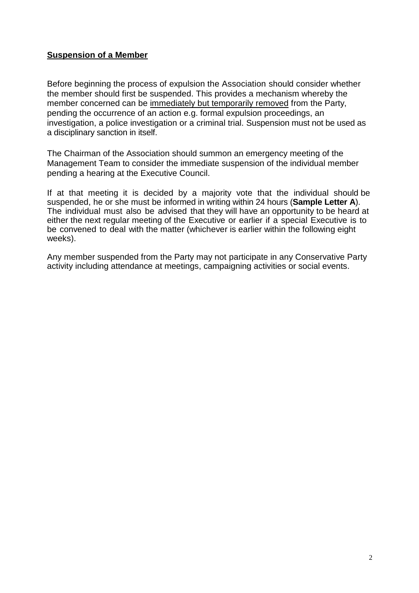### **Suspension of a Member**

Before beginning the process of expulsion the Association should consider whether the member should first be suspended. This provides a mechanism whereby the member concerned can be immediately but temporarily removed from the Party, pending the occurrence of an action e.g. formal expulsion proceedings, an investigation, a police investigation or a criminal trial. Suspension must not be used as a disciplinary sanction in itself.

The Chairman of the Association should summon an emergency meeting of the Management Team to consider the immediate suspension of the individual member pending a hearing at the Executive Council.

If at that meeting it is decided by a majority vote that the individual should be suspended, he or she must be informed in writing within 24 hours (**Sample Letter A**). The individual must also be advised that they will have an opportunity to be heard at either the next regular meeting of the Executive or earlier if a special Executive is to be convened to deal with the matter (whichever is earlier within the following eight weeks).

Any member suspended from the Party may not participate in any Conservative Party activity including attendance at meetings, campaigning activities or social events.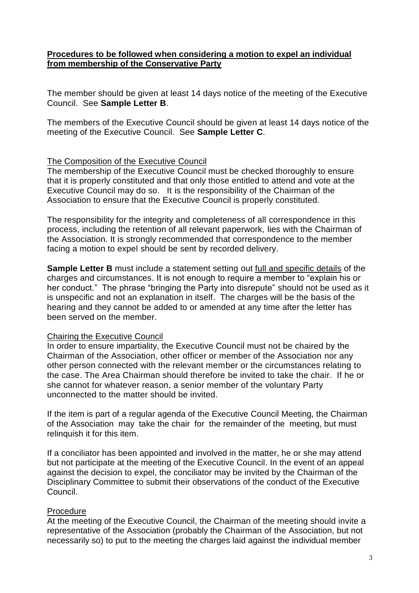#### **Procedures to be followed when considering a motion to expel an individual from membership of the Conservative Party**

The member should be given at least 14 days notice of the meeting of the Executive Council. See **Sample Letter B**.

The members of the Executive Council should be given at least 14 days notice of the meeting of the Executive Council. See **Sample Letter C**.

#### The Composition of the Executive Council

The membership of the Executive Council must be checked thoroughly to ensure that it is properly constituted and that only those entitled to attend and vote at the Executive Council may do so. It is the responsibility of the Chairman of the Association to ensure that the Executive Council is properly constituted.

The responsibility for the integrity and completeness of all correspondence in this process, including the retention of all relevant paperwork, lies with the Chairman of the Association. It is strongly recommended that correspondence to the member facing a motion to expel should be sent by recorded delivery.

**Sample Letter B** must include a statement setting out full and specific details of the charges and circumstances. It is not enough to require a member to "explain his or her conduct." The phrase "bringing the Party into disrepute" should not be used as it is unspecific and not an explanation in itself. The charges will be the basis of the hearing and they cannot be added to or amended at any time after the letter has been served on the member.

#### Chairing the Executive Council

In order to ensure impartiality, the Executive Council must not be chaired by the Chairman of the Association, other officer or member of the Association nor any other person connected with the relevant member or the circumstances relating to the case. The Area Chairman should therefore be invited to take the chair. If he or she cannot for whatever reason, a senior member of the voluntary Party unconnected to the matter should be invited.

If the item is part of a regular agenda of the Executive Council Meeting, the Chairman of the Association may take the chair for the remainder of the meeting, but must relinquish it for this item.

If a conciliator has been appointed and involved in the matter, he or she may attend but not participate at the meeting of the Executive Council. In the event of an appeal against the decision to expel, the conciliator may be invited by the Chairman of the Disciplinary Committee to submit their observations of the conduct of the Executive Council.

#### Procedure

At the meeting of the Executive Council, the Chairman of the meeting should invite a representative of the Association (probably the Chairman of the Association, but not necessarily so) to put to the meeting the charges laid against the individual member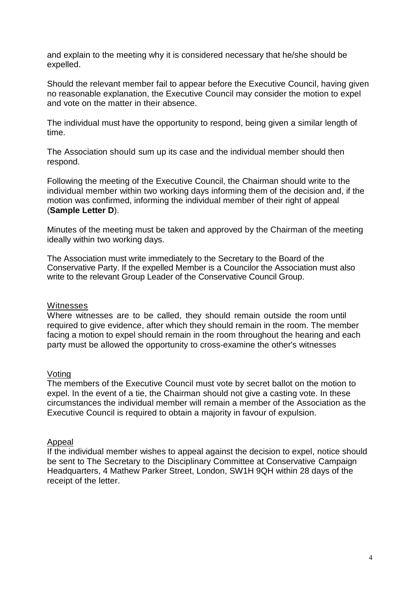and explain to the meeting why it is considered necessary that he/she should be expelled.

Should the relevant member fail to appear before the Executive Council, having given no reasonable explanation, the Executive Council may consider the motion to expel and vote on the matter in their absence.

The individual must have the opportunity to respond, being given a similar length of time.

The Association should sum up its case and the individual member should then respond.

Following the meeting of the Executive Council, the Chairman should write to the individual member within two working days informing them of the decision and, if the motion was confirmed, informing the individual member of their right of appeal (**Sample Letter D**).

Minutes of the meeting must be taken and approved by the Chairman of the meeting ideally within two working days.

The Association must write immediately to the Secretary to the Board of the Conservative Party. If the expelled Member is a Councilor the Association must also write to the relevant Group Leader of the Conservative Council Group.

#### **Witnesses**

Where witnesses are to be called, they should remain outside the room until required to give evidence, after which they should remain in the room. The member facing a motion to expel should remain in the room throughout the hearing and each party must be allowed the opportunity to cross-examine the other's witnesses

#### Voting

The members of the Executive Council must vote by secret ballot on the motion to expel. In the event of a tie, the Chairman should not give a casting vote. In these circumstances the individual member will remain a member of the Association as the Executive Council is required to obtain a majority in favour of expulsion.

#### Appeal

If the individual member wishes to appeal against the decision to expel, notice should be sent to The Secretary to the Disciplinary Committee at Conservative Campaign Headquarters, 4 Mathew Parker Street, London, SW1H 9QH within 28 days of the receipt of the letter.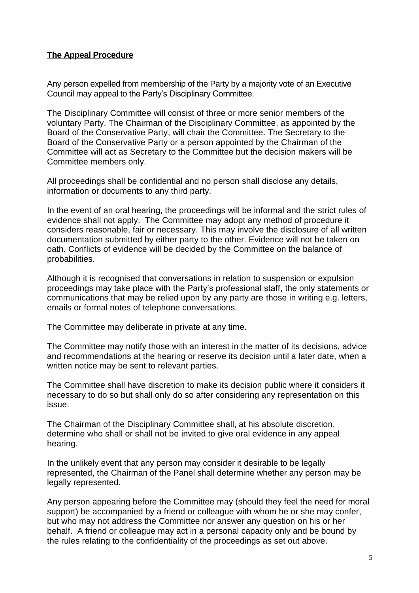## **The Appeal Procedure**

Any person expelled from membership of the Party by a majority vote of an Executive Council may appeal to the Party's Disciplinary Committee.

The Disciplinary Committee will consist of three or more senior members of the voluntary Party. The Chairman of the Disciplinary Committee, as appointed by the Board of the Conservative Party, will chair the Committee. The Secretary to the Board of the Conservative Party or a person appointed by the Chairman of the Committee will act as Secretary to the Committee but the decision makers will be Committee members only.

All proceedings shall be confidential and no person shall disclose any details, information or documents to any third party.

In the event of an oral hearing, the proceedings will be informal and the strict rules of evidence shall not apply. The Committee may adopt any method of procedure it considers reasonable, fair or necessary. This may involve the disclosure of all written documentation submitted by either party to the other. Evidence will not be taken on oath. Conflicts of evidence will be decided by the Committee on the balance of probabilities.

Although it is recognised that conversations in relation to suspension or expulsion proceedings may take place with the Party's professional staff, the only statements or communications that may be relied upon by any party are those in writing e.g. letters, emails or formal notes of telephone conversations.

The Committee may deliberate in private at any time.

The Committee may notify those with an interest in the matter of its decisions, advice and recommendations at the hearing or reserve its decision until a later date, when a written notice may be sent to relevant parties.

The Committee shall have discretion to make its decision public where it considers it necessary to do so but shall only do so after considering any representation on this issue.

The Chairman of the Disciplinary Committee shall, at his absolute discretion, determine who shall or shall not be invited to give oral evidence in any appeal hearing.

In the unlikely event that any person may consider it desirable to be legally represented, the Chairman of the Panel shall determine whether any person may be legally represented.

Any person appearing before the Committee may (should they feel the need for moral support) be accompanied by a friend or colleague with whom he or she may confer, but who may not address the Committee nor answer any question on his or her behalf. A friend or colleague may act in a personal capacity only and be bound by the rules relating to the confidentiality of the proceedings as set out above.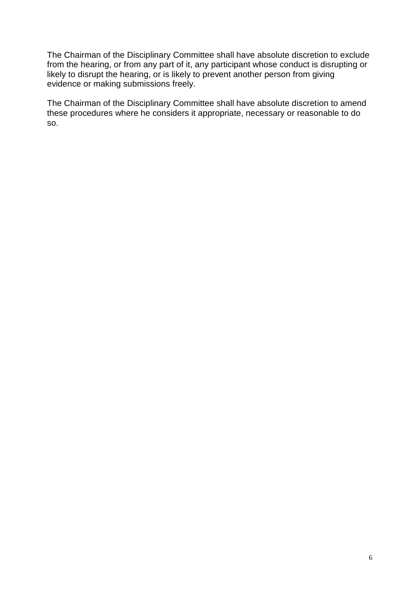The Chairman of the Disciplinary Committee shall have absolute discretion to exclude from the hearing, or from any part of it, any participant whose conduct is disrupting or likely to disrupt the hearing, or is likely to prevent another person from giving evidence or making submissions freely.

The Chairman of the Disciplinary Committee shall have absolute discretion to amend these procedures where he considers it appropriate, necessary or reasonable to do so.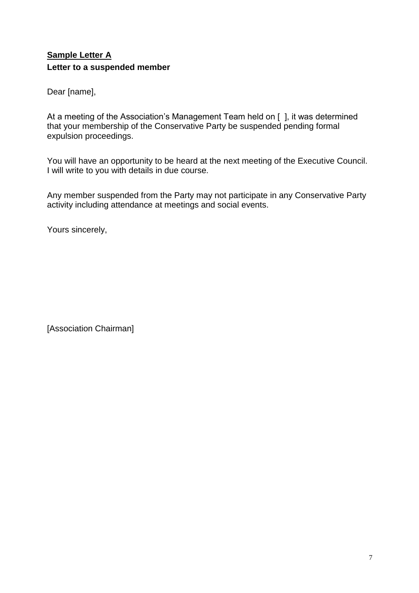# **Sample Letter A Letter to a suspended member**

Dear [name],

At a meeting of the Association's Management Team held on [ ], it was determined that your membership of the Conservative Party be suspended pending formal expulsion proceedings.

You will have an opportunity to be heard at the next meeting of the Executive Council. I will write to you with details in due course.

Any member suspended from the Party may not participate in any Conservative Party activity including attendance at meetings and social events.

Yours sincerely,

[Association Chairman]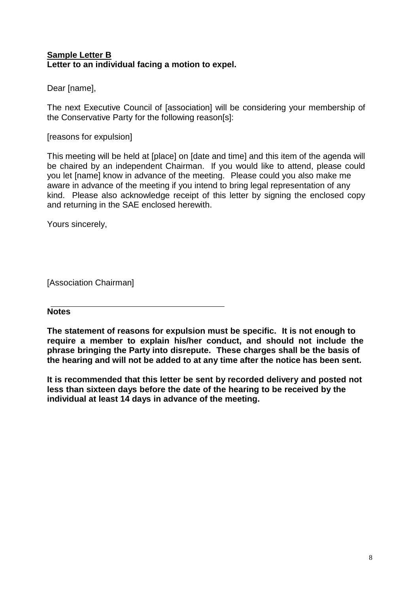### **Sample Letter B Letter to an individual facing a motion to expel.**

Dear [name],

The next Executive Council of [association] will be considering your membership of the Conservative Party for the following reason[s]:

#### [reasons for expulsion]

This meeting will be held at [place] on [date and time] and this item of the agenda will be chaired by an independent Chairman. If you would like to attend, please could you let [name] know in advance of the meeting. Please could you also make me aware in advance of the meeting if you intend to bring legal representation of any kind. Please also acknowledge receipt of this letter by signing the enclosed copy and returning in the SAE enclosed herewith.

Yours sincerely,

[Association Chairman]

#### **Notes**

**The statement of reasons for expulsion must be specific. It is not enough to require a member to explain his/her conduct, and should not include the phrase bringing the Party into disrepute. These charges shall be the basis of the hearing and will not be added to at any time after the notice has been sent.**

**It is recommended that this letter be sent by recorded delivery and posted not less than sixteen days before the date of the hearing to be received by the individual at least 14 days in advance of the meeting.**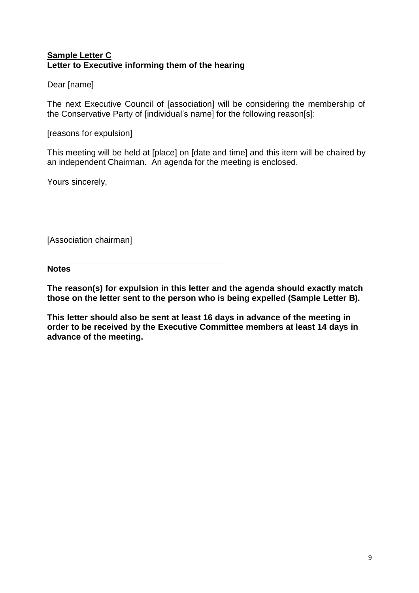#### **Sample Letter C Letter to Executive informing them of the hearing**

## Dear [name]

The next Executive Council of [association] will be considering the membership of the Conservative Party of [individual's name] for the following reason[s]:

[reasons for expulsion]

This meeting will be held at [place] on [date and time] and this item will be chaired by an independent Chairman. An agenda for the meeting is enclosed.

Yours sincerely,

[Association chairman]

**Notes**

**The reason(s) for expulsion in this letter and the agenda should exactly match those on the letter sent to the person who is being expelled (Sample Letter B).**

**This letter should also be sent at least 16 days in advance of the meeting in order to be received by the Executive Committee members at least 14 days in advance of the meeting.**